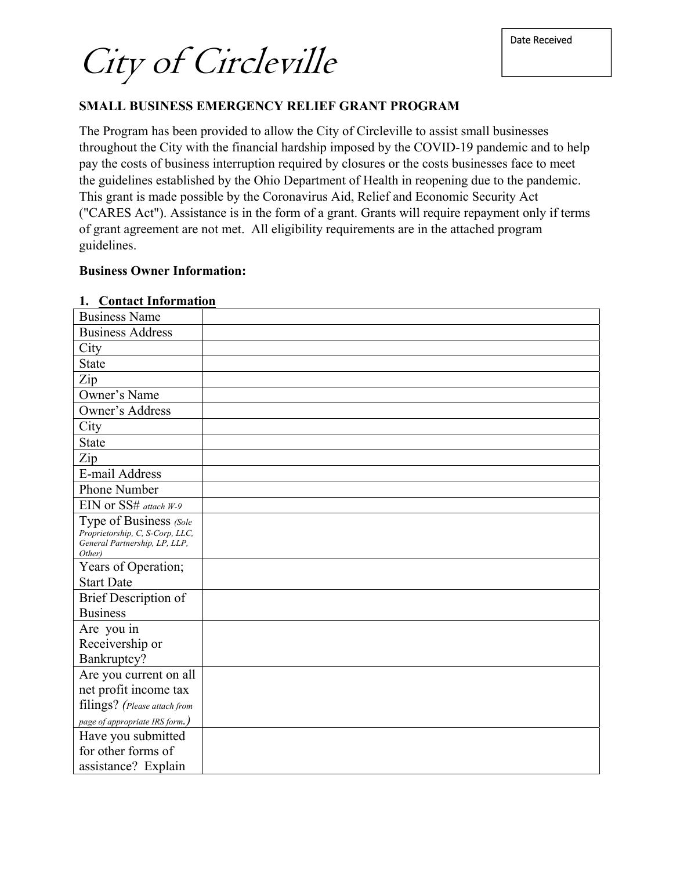City of Circleville

### **SMALL BUSINESS EMERGENCY RELIEF GRANT PROGRAM**

The Program has been provided to allow the City of Circleville to assist small businesses throughout the City with the financial hardship imposed by the COVID-19 pandemic and to help pay the costs of business interruption required by closures or the costs businesses face to meet the guidelines established by the Ohio Department of Health in reopening due to the pandemic. This grant is made possible by the Coronavirus Aid, Relief and Economic Security Act ("CARES Act"). Assistance is in the form of a grant. Grants will require repayment only if terms of grant agreement are not met. All eligibility requirements are in the attached program guidelines.

#### **Business Owner Information:**

#### **1. Contact Information**

| <b>Business Name</b>                                                                                 |  |
|------------------------------------------------------------------------------------------------------|--|
| <b>Business Address</b>                                                                              |  |
| City                                                                                                 |  |
| <b>State</b>                                                                                         |  |
| Zip                                                                                                  |  |
| Owner's Name                                                                                         |  |
| Owner's Address                                                                                      |  |
| City                                                                                                 |  |
| <b>State</b>                                                                                         |  |
| Zip                                                                                                  |  |
| E-mail Address                                                                                       |  |
| Phone Number                                                                                         |  |
| EIN or SS# attach W-9                                                                                |  |
| Type of Business (Sole<br>Proprietorship, C, S-Corp, LLC,<br>General Partnership, LP, LLP,<br>Other) |  |
| Years of Operation;                                                                                  |  |
| <b>Start Date</b>                                                                                    |  |
| <b>Brief Description of</b>                                                                          |  |
| <b>Business</b>                                                                                      |  |
| Are you in                                                                                           |  |
| Receivership or                                                                                      |  |
| Bankruptcy?                                                                                          |  |
| Are you current on all                                                                               |  |
| net profit income tax                                                                                |  |
| filings? (Please attach from                                                                         |  |
| page of appropriate IRS form.)                                                                       |  |
| Have you submitted                                                                                   |  |
| for other forms of                                                                                   |  |
| assistance? Explain                                                                                  |  |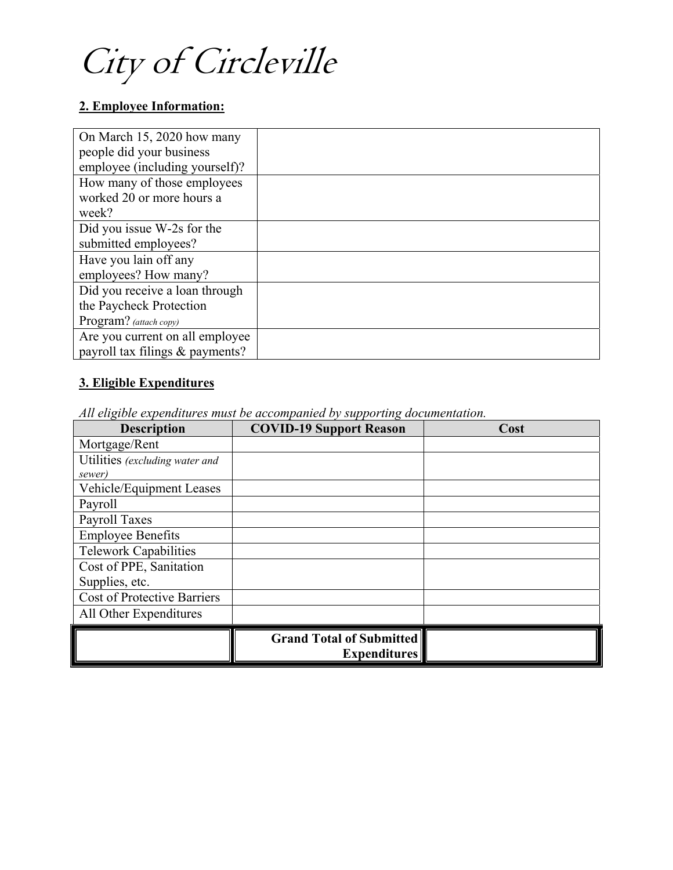City of Circleville

# **2. Employee Information:**

| On March 15, 2020 how many      |  |
|---------------------------------|--|
| people did your business        |  |
| employee (including yourself)?  |  |
| How many of those employees     |  |
| worked 20 or more hours a       |  |
| week?                           |  |
| Did you issue W-2s for the      |  |
| submitted employees?            |  |
| Have you lain off any           |  |
| employees? How many?            |  |
| Did you receive a loan through  |  |
| the Paycheck Protection         |  |
| Program? (attach copy)          |  |
| Are you current on all employee |  |
| payroll tax filings & payments? |  |

# **3. Eligible Expenditures**

*All eligible expenditures must be accompanied by supporting documentation.* 

| <b>Description</b>                 | <b>COVID-19 Support Reason</b>  | Cost |
|------------------------------------|---------------------------------|------|
| Mortgage/Rent                      |                                 |      |
| Utilities (excluding water and     |                                 |      |
| sewer)                             |                                 |      |
| Vehicle/Equipment Leases           |                                 |      |
| Payroll                            |                                 |      |
| Payroll Taxes                      |                                 |      |
| <b>Employee Benefits</b>           |                                 |      |
| <b>Telework Capabilities</b>       |                                 |      |
| Cost of PPE, Sanitation            |                                 |      |
| Supplies, etc.                     |                                 |      |
| <b>Cost of Protective Barriers</b> |                                 |      |
| All Other Expenditures             |                                 |      |
|                                    | <b>Grand Total of Submitted</b> |      |
|                                    | Expenditures                    |      |